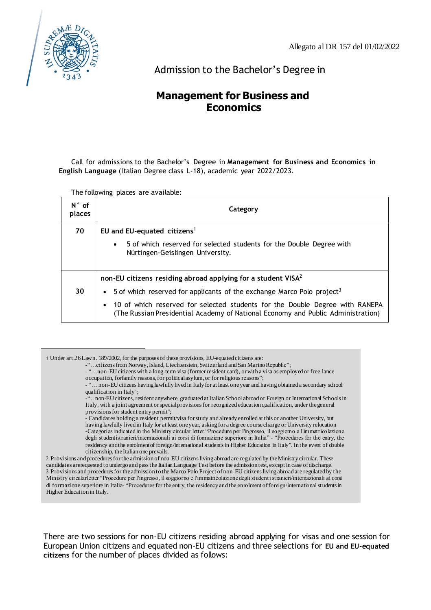

Admission to the Bachelor's Degree in

# **Management for Business and Economics**

Call for admissions to the Bachelor's Degree in **Management for Business and Economics in English Language** (Italian Degree class L-18), academic year 2022/2023.

The following places are available:

| $N^{\circ}$ of<br>places | Category                                                                                                                                                         |  |  |  |  |  |  |
|--------------------------|------------------------------------------------------------------------------------------------------------------------------------------------------------------|--|--|--|--|--|--|
| 70                       | EU and EU-equated citizens <sup>1</sup>                                                                                                                          |  |  |  |  |  |  |
|                          | 5 of which reserved for selected students for the Double Degree with<br>$\bullet$<br>Nürtingen-Geislingen University.                                            |  |  |  |  |  |  |
|                          | non-EU citizens residing abroad applying for a student $VISA2$                                                                                                   |  |  |  |  |  |  |
| 30                       | 5 of which reserved for applicants of the exchange Marco Polo project <sup>3</sup>                                                                               |  |  |  |  |  |  |
|                          | 10 of which reserved for selected students for the Double Degree with RANEPA<br>(The Russian Presidential Academy of National Economy and Public Administration) |  |  |  |  |  |  |

<sup>1</sup> Under art.26Lawn. 189/2002,for the purposes of these provisions, EU-equated citizens are: -"...citizens from Norway, Island, Liechtenstein, Switzerland and San Marino Republic";

- "…non-EU citizens with a long-term visa (formerresident card), orwith a visa as employed or free-lance occupation, forfamily reasons, for political asylum, or for religious reasons";

- "…non-EU citizens having lawfully lived in Italy for at least oneyear and having obtained a secondary school qualification in Italy";

.. non-EU citizens, resident anywhere, graduated at Italian School abroad or Foreign or International Schools in Italy, with a joint agreement or special provisions for recognized education qualification, under the general provisions for student entry permit";

- Candidates holding a resident permit/visa for study and already enrolled at this or another University, but having lawfully lived in Italy for at least oneyear, asking for a degree coursechange orUniversity relocation -Categories indicated in the Ministry circular letter "Procedure per l'ingresso, il soggiorno e l'immatricolazione degli studentistranieri/internazionali ai corsi di formazione superiore in Italia" - "Procedures for the entry, the residency andthe enrolmentof foreign/internationalstudentsin Higher Education in Italy". In the event of double citizenship, theItalian one prevails.

2 Provisions and proceduresforthe admission of non-EU citizensliving abroad are regulated by theMinistry circular. These candidates arerequested to undergo and passthe ItalianLanguage Test before the admission test, except in case of discharge. 3 Provisions and procedures for the admission to the Marco Polo Project of non-EU citizens living abroad are regulated by the Ministry circularletter "Procedure per l'ingresso, il soggiorno e l'immatricolazione degli studenti stranieri/internazionali ai corsi di formazione superiore in Italia- "Procedures for the entry, the residency and the enrolment of foreign/international students in Higher Education in Italy.

There are two sessions for non-EU citizens residing abroad applying for visas and one session for European Union citizens and equated non-EU citizens and three selections for **EU and EU-equated citizens** for the number of places divided as follows: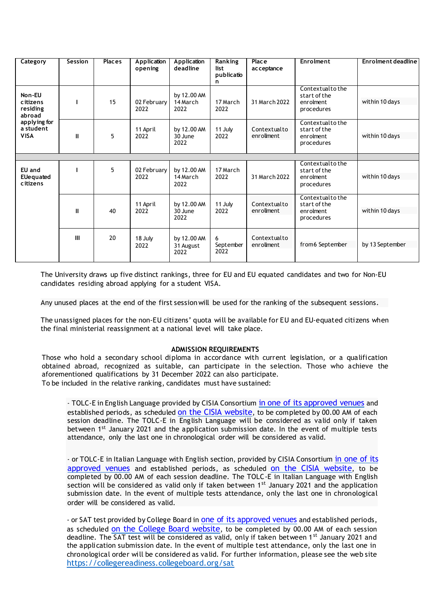| Category                                                                             | Session      | <b>Places</b> | Application<br>opening | Application<br>deadline          | <b>Ranking</b><br>list<br>publicatio<br>n | Place<br>ac ceptance       | Enrolment                                                  | Enrolment deadline |
|--------------------------------------------------------------------------------------|--------------|---------------|------------------------|----------------------------------|-------------------------------------------|----------------------------|------------------------------------------------------------|--------------------|
| Non-EU<br>citizens<br>residing<br>abroad<br>applying for<br>a student<br><b>VISA</b> | п            | 15            | 02 February<br>2022    | by 12.00 AM<br>14 March<br>2022  | 17 March<br>2022                          | 31 March 2022              | Contextualtothe<br>start of the<br>enrolment<br>procedures | within 10 days     |
|                                                                                      | Ш            | 5             | 11 April<br>2022       | by 12.00 AM<br>30 June<br>2022   | 11 July<br>2022                           | Contextualto<br>enrollment | Contextualtothe<br>start of the<br>enrolment<br>procedures | within 10 days     |
|                                                                                      |              |               |                        |                                  |                                           |                            |                                                            |                    |
| EU and<br>EUequated<br>citizens                                                      |              | 5             | 02 February<br>2022    | by 12.00 AM<br>14 March<br>2022  | 17 March<br>2022                          | 31 March 2022              | Contextualtothe<br>start of the<br>enrolment<br>procedures | within 10 days     |
|                                                                                      | $\mathbf{u}$ | 40            | 11 April<br>2022       | by 12.00 AM<br>30 June<br>2022   | 11 July<br>2022                           | Contextualto<br>enrollment | Contextualtothe<br>start of the<br>enrolment<br>procedures | within 10 days     |
|                                                                                      | III          | 20            | 18 July<br>2022        | by 12.00 AM<br>31 August<br>2022 | 6<br>September<br>2022                    | Contextualto<br>enrollment | from6 September                                            | by 13 September    |

The University draws up five distinct rankings, three for EU and EU equated candidates and two for Non-EU candidates residing abroad applying for a student VISA.

Any unused places at the end of the first session will be used for the ranking of the subsequent sessions.

The unassigned places for the non-EU citizens' quota will be available for EU and EU-equated citizens when the final ministerial reassignment at a national level will take place.

# **ADMISSION REQUIREMENTS**

Those who hold a secondary school diploma in accordance with current legislation, or a qualification obtained abroad, recognized as suitable, can participate in the selection. Those who achieve the aforementioned qualifications by 31 December 2022 can also participate. To be included in the relative ranking, candidates must have sustained:

- TOLC-E in English Language provided by CISIA Consortium in one of its [approved](https://tolc.cisiaonline.it/calendario.php?tolc=economia&lingua=inglese) venues and established periods, as scheduled on the CISIA [website](https://www.cisiaonline.it/area-tematica-tolc-cisia/home-tolc-generale/), to be completed by 00.00 AM of each session deadline. The TOLC-E in English Language will be considered as valid only if taken between 1<sup>st</sup> January 2021 and the application submission date. In the event of multiple tests attendance, only the last one in chronological order will be considered as valid.

- or TOLC-E in Italian Language with English section, provided by CISIA Consortium in [one](https://www.cisiaonline.it/area-tematica-tolc-economia/home-tolc-economia/) of its [approved venues](https://www.cisiaonline.it/area-tematica-tolc-economia/home-tolc-economia/) and established periods, as scheduled on the [CISIA website](https://www.cisiaonline.it/area-tematica-tolc-cisia/home-tolc-generale/), to be completed by 00.00 AM of each session deadline. The TOLC-E in Italian Language with English section will be considered as valid only if taken between 1<sup>st</sup> January 2021 and the application submission date. In the event of multiple tests attendance, only the last one in chronological order will be considered as valid.

- or SAT test provided by College Board in one of its [approved](https://satsuite.collegeboard.org/sat/test-center-search) venues and established periods, as scheduled [on the College Board website](https://collegereadiness.collegeboard.org/sat), to be completed by 00.00 AM of each session deadline. The SAT test will be considered as valid, only if taken between 1<sup>st</sup> January 2021 and the application submission date. In the event of multiple test attendance, only the last one in chronological order will be considered as valid. For further information, please see the web site <https://collegereadiness.collegeboard.org/sat>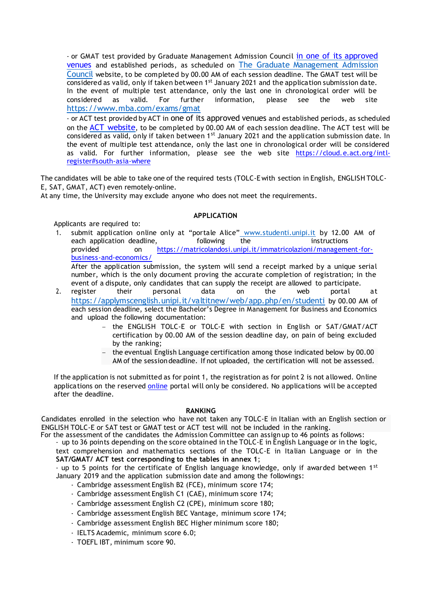- or GMAT test provided by Graduate Management Admission Council [in one of its approved](https://registration.mba.com/testtaker/registration/PolicyAcceptancePage/GMAC?conversationId=687596) [venues](https://registration.mba.com/testtaker/registration/PolicyAcceptancePage/GMAC?conversationId=687596) and established periods, as scheduled on [The Graduate Management Admission](https://www.mba.com/exams/gmat) [Council](https://www.mba.com/exams/gmat) website, to be completed by 00.00 AM of each session deadline. The GMAT test will be  $\overline{\text{considered}}$  as valid, only if taken between 1st January 2021 and the application submission date. In the event of multiple test attendance, only the last one in chronological order will be considered as valid. For further information, please see the web site <https://www.mba.com/exams/gmat>

- or ACT test provided by ACT in one of its approved venues and established periods, as scheduled on the [ACT website](https://cloud.e.act.org/intl-register#south-asia-where), to be completed by 00.00 AM of each session deadline. The ACT test will be considered as valid, only if taken between 1<sup>st</sup> January 2021 and the application submission date. In the event of multiple test attendance, only the last one in chronological order will be considered as valid. For further information, please see the web site [https://cloud.e.act.org/intl](https://cloud.e.act.org/intl-register#south-asia-where)[register#south-asia-where](https://cloud.e.act.org/intl-register#south-asia-where)

The candidates will be able to take one of the required tests (TOLC-E with section in English, ENGLISH TOLC-E, SAT, GMAT, ACT) even remotely-online.

At any time, the University may exclude anyone who does not meet the requirements.

# **APPLICATION**

Applicants are required to:

1. submit application online only at "portale Alice" [www.studenti.unipi.it](http://www.studenti.unipi.it/) by 12.00 AM of each application deadline, interesting the instructions of the instructions provided on [https://matricolandosi.unipi.it/immatricolazioni/management-for](https://matricolandosi.unipi.it/immatricolazioni/management-for-business-and-economics/)[business-and-economics/](https://matricolandosi.unipi.it/immatricolazioni/management-for-business-and-economics/) After the application submission, the system will send a receipt marked by a unique serial

number, which is the only document proving the accurate completion of registration; in the event of a dispute, only candidates that can supply the receipt are allowed to participate.

- 2. register their personal data on the web portal at <https://applymscenglish.unipi.it/valtitnew/web/app.php/en/studenti> by 00.00 AM of each session deadline, select the Bachelor's Degree in Management for Business and Economics and upload the following documentation:
	- − the ENGLISH TOLC-E or TOLC-E with section in English or SAT/GMAT/ACT certification by 00.00 AM of the session deadline day, on pain of being excluded by the ranking;
	- − the eventual English Language certification among those indicated below by 00.00 AM of the session deadline. If not uploaded, the certification will not be assessed.

If the application is not submitted as for point 1, the registration as for point 2 is not allowed. Online applications on the reserved [online](https://applymscenglish.unipi.it/valtitnew/web/app.php/en/studenti) portal will only be considered. No applications will be accepted after the deadline.

#### **RANKING**

Candidates enrolled in the selection who have not taken any TOLC-E in Italian with an English section or ENGLISH TOLC-E or SAT test or GMAT test or ACT test will not be included in the ranking.

For the assessment of the candidates the Admission Committee can assign up to 46 points as follows:

- up to 36 points depending on the score obtained in the TOLC-E in English Language or in the logic, text comprehension and mathematics sections of the TOLC-E in Italian Language or in the **SAT/GMAT/ ACT test corresponding to the tables in annex 1**;

- up to 5 points for the certificate of English language knowledge, only if awarded between  $1^{st}$ January 2019 and the application submission date and among the followings:

- Cambridge assessment English B2 (FCE), minimum score 174;
- Cambridge assessment English C1 (CAE), minimum score 174;
- Cambridge assessment English C2 (CPE), minimum score 180;
- Cambridge assessment English BEC Vantage, minimum score 174;
- Cambridge assessment English BEC Higher minimum score 180;
- IELTS Academic, minimum score 6.0;
- TOEFL IBT, minimum score 90.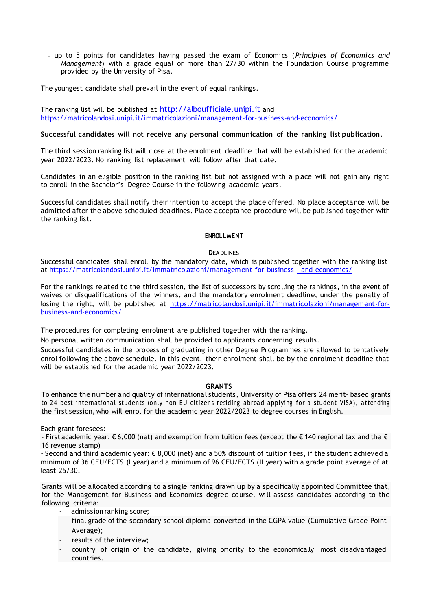- up to 5 points for candidates having passed the exam of Economics (*Principles of Economics and Management*) with a grade equal or more than 27/30 within the Foundation Course programme provided by the University of Pisa.

The youngest candidate shall prevail in the event of equal rankings.

The ranking list will be published at [http://alboufficiale.unipi.it](http://alboufficiale.unipi.it/) and <https://matricolandosi.unipi.it/immatricolazioni/management-for-business-and-economics/>

## **Successful candidates will not receive any personal communication of the ranking list publication**.

The third session ranking list will close at the enrolment deadline that will be established for the academic year 2022/2023. No ranking list replacement will follow after that date.

Candidates in an eligible position in the ranking list but not assigned with a place will not gain any right to enroll in the Bachelor's Degree Course in the following academic years.

Successful candidates shall notify their intention to accept the place offered. No place acceptance will be admitted after the above scheduled deadlines. Place acceptance procedure will be published together with the ranking list.

#### **ENROLLMENT**

#### **DEADLINES**

Successful candidates shall enroll by the mandatory date, which is published together with the ranking list at <https://matricolandosi.unipi.it/immatricolazioni/management-for-business-> [and-economics/](https://matricolandosi.unipi.it/immatricolazioni/management-for-business-)

For the rankings related to the third session, the list of successors by scrolling the rankings, in the event of waives or disqualifications of the winners, and the mandatory enrolment deadline, under the penalty of losing the right, will be published at [https://matricolandosi.unipi.it/immatricolazioni/management-for](https://matricolandosi.unipi.it/immatricolazioni/management-for-business-and-economics/)[business-and-economics/](https://matricolandosi.unipi.it/immatricolazioni/management-for-business-and-economics/)

The procedures for completing enrolment are published together with the ranking.

No personal written communication shall be provided to applicants concerning results.

Successful candidates in the process of graduating in other Degree Programmes are allowed to tentatively enrol following the above schedule. In this event, their enrolment shall be by the enrolment deadline that will be established for the academic year 2022/2023.

#### **GRANTS**

To enhance the number and quality of international students, University of Pisa offers 24 merit- based grants to 24 best international students (only non-EU citizens residing abroad applying for a student VISA), attending the first session, who will enrol for the academic year 2022/2023 to degree courses in English.

Each grant foresees:

- First academic year: € 6,000 (net) and exemption from tuition fees (except the € 140 regional tax and the € 16 revenue stamp)

- Second and third academic year: € 8,000 (net) and a 50% discount of tuition fees, if the student achieved a minimum of 36 CFU/ECTS (I year) and a minimum of 96 CFU/ECTS (II year) with a grade point average of at least 25/30.

Grants will be allocated according to a single ranking drawn up by a specifically appointed Committee that, for the Management for Business and Economics degree course, will assess candidates according to the following criteria:

- admission ranking score;
- final grade of the secondary school diploma converted in the CGPA value (Cumulative Grade Point Average);
- results of the interview;
- country of origin of the candidate, giving priority to the economically most disadvantaged countries.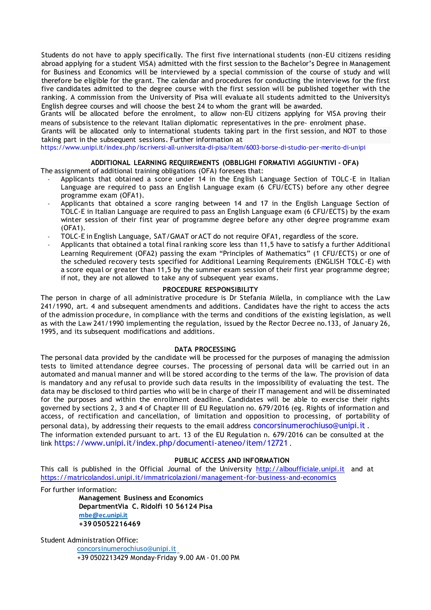Students do not have to apply specifically. The first five international students (non-EU citizens residing abroad applying for a student VISA) admitted with the first session to the Bachelor's Degree in Management for Business and Economics will be interviewed by a special commission of the course of study and will therefore be eligible for the grant. The calendar and procedures for conducting the interviews for the first five candidates admitted to the degree course with the first session will be published together with the ranking. A commission from the University of Pisa will evaluate all students admitted to the University's English degree courses and will choose the best 24 to whom the grant will be awarded.

Grants will be allocated before the enrolment, to allow non-EU citizens applying for VISA proving their means of subsistence to the relevant Italian diplomatic representatives in the pre- enrolment phase.

Grants will be allocated only to international students taking part in the first session, and NOT to those taking part in the subsequent sessions. Further information at

<https://www.unipi.it/index.php/iscriversi-all-universita-di-pisa/item/6003-borse-di-studio-per-merito-di-unipi>

### **ADDITIONAL LEARNING REQUIREMENTS (OBBLIGHI FORMATIVI AGGIUNTIVI - OFA)**

The assignment of additional training obligations (OFA) foresees that:

- Applicants that obtained a score under 14 in the English Language Section of TOLC-E in Italian Language are required to pass an English Language exam (6 CFU/ECTS) before any other degree programme exam (OFA1).
- Applicants that obtained a score ranging between 14 and 17 in the English Language Section of TOLC-E in Italian Language are required to pass an English Language exam (6 CFU/ECTS) by the exam winter session of their first year of programme degree before any other degree programme exam (OFA1).
- TOLC-E in English Language, SAT/GMAT or ACT do not require OFA1, regardless of the score.
- Applicants that obtained a total final ranking score less than 11,5 have to satisfy a further Additional Learning Requirement (OFA2) passing the exam "Principles of Mathematics" (1 CFU/ECTS) or one of the scheduled recovery tests specified for Additional Learning Requirements (ENGLISH TOLC-E) with a score equal or greater than 11,5 by the summer exam session of their first year programme degree; if not, they are not allowed to take any of subsequent year exams.

# **PROCEDURE RESPONSIBILITY**

The person in charge of all administrative procedure is Dr Stefania Milella, in compliance with the Law 241/1990, art. 4 and subsequent amendments and additions. Candidates have the right to access the acts of the admission procedure, in compliance with the terms and conditions of the existing legislation, as well as with the Law 241/1990 implementing the regulation, issued by the Rector Decree no.133, of January 26, 1995, and its subsequent modifications and additions.

#### **DATA PROCESSING**

The personal data provided by the candidate will be processed for the purposes of managing the admission tests to limited attendance degree courses. The processing of personal data will be carried out in an automated and manual manner and will be stored according to the terms of the law. The provision of data is mandatory and any refusal to provide such data results in the impossibility of evaluating the test. The data may be disclosed to third parties who will be in charge of their IT management and will be disseminated for the purposes and within the enrollment deadline. Candidates will be able to exercise their rights governed by sections 2, 3 and 4 of Chapter III of EU Regulation no. 679/2016 (eg. Rights of information and access, of rectification and cancellation, of limitation and opposition to processing, of portability of personal data), by addressing their requests to the email address [concorsinumerochiuso@unipi.it](mailto:concorsinumerochiuso@unipi.it) . The information extended pursuant to art. 13 of the EU Regulation n. 679/2016 can be consulted at the link <https://www.unipi.it/index.php/documenti-ateneo/item/12721> .

#### **PUBLIC ACCESS AND INFORMATION**

This call is published in the Official Journal of the University [http://alboufficiale.unipi.it](http://alboufficiale.unipi.it/) and at <https://matricolandosi.unipi.it/immatricolazioni/management-for-business-and-economics>

For further information:

**Management Business and Economics DepartmentVia C. Ridolfi 10 56124 Pisa [mbe@ec.unipi.it](mailto:mbe@ec.unipi.it) +39 05052216469**

Student Administration Office:

[concorsinumerochiuso@unipi.it](mailto:concorsinumerochiuso@unipi.it) +39 0502213429 Monday-Friday 9.00 AM - 01.00 PM